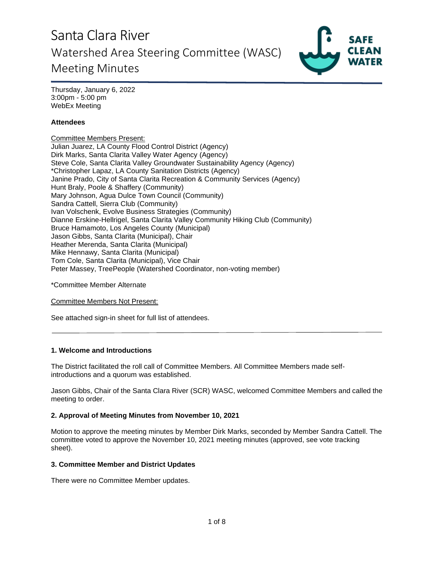

Thursday, January 6, 2022 3:00pm - 5:00 pm WebEx Meeting

## **Attendees**

Committee Members Present: Julian Juarez, LA County Flood Control District (Agency) Dirk Marks, Santa Clarita Valley Water Agency (Agency) Steve Cole, Santa Clarita Valley Groundwater Sustainability Agency (Agency) \*Christopher Lapaz, LA County Sanitation Districts (Agency) Janine Prado, City of Santa Clarita Recreation & Community Services (Agency) Hunt Braly, Poole & Shaffery (Community) Mary Johnson, Agua Dulce Town Council (Community) Sandra Cattell, Sierra Club (Community) Ivan Volschenk, Evolve Business Strategies (Community) Dianne Erskine-Hellrigel, Santa Clarita Valley Community Hiking Club (Community) Bruce Hamamoto, Los Angeles County (Municipal) Jason Gibbs, Santa Clarita (Municipal), Chair Heather Merenda, Santa Clarita (Municipal) Mike Hennawy, Santa Clarita (Municipal) Tom Cole, Santa Clarita (Municipal), Vice Chair Peter Massey, TreePeople (Watershed Coordinator, non-voting member)

\*Committee Member Alternate

Committee Members Not Present:

See attached sign-in sheet for full list of attendees.

## **1. Welcome and Introductions**

The District facilitated the roll call of Committee Members. All Committee Members made selfintroductions and a quorum was established.

Jason Gibbs, Chair of the Santa Clara River (SCR) WASC, welcomed Committee Members and called the meeting to order.

### **2. Approval of Meeting Minutes from November 10, 2021**

Motion to approve the meeting minutes by Member Dirk Marks, seconded by Member Sandra Cattell. The committee voted to approve the November 10, 2021 meeting minutes (approved, see vote tracking sheet).

### **3. Committee Member and District Updates**

There were no Committee Member updates.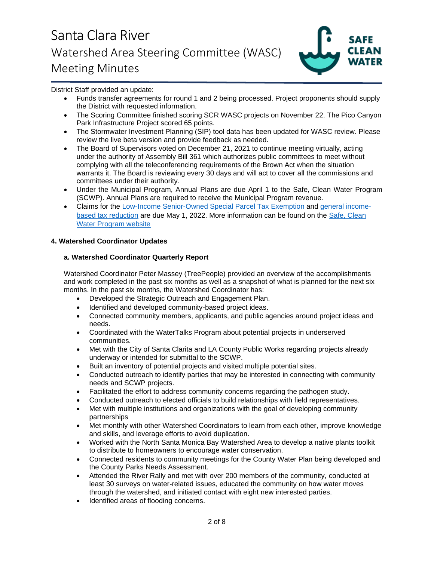

District Staff provided an update:

- Funds transfer agreements for round 1 and 2 being processed. Project proponents should supply the District with requested information.
- The Scoring Committee finished scoring SCR WASC projects on November 22. The Pico Canyon Park Infrastructure Project scored 65 points.
- The Stormwater Investment Planning (SIP) tool data has been updated for WASC review. Please review the live beta version and provide feedback as needed.
- The Board of Supervisors voted on December 21, 2021 to continue meeting virtually, acting under the authority of Assembly Bill 361 which authorizes public committees to meet without complying with all the teleconferencing requirements of the Brown Act when the situation warrants it. The Board is reviewing every 30 days and will act to cover all the commissions and committees under their authority.
- Under the Municipal Program, Annual Plans are due April 1 to the Safe, Clean Water Program (SCWP). Annual Plans are required to receive the Municipal Program revenue.
- Claims for the [Low-Income Senior-Owned Special Parcel Tax Exemption](https://safecleanwaterla.org/wp-content/uploads/2021/06/Low-Income-Senior-Owned-Parcel-Application-20210621.pdf) and [general income](https://safecleanwaterla.org/wp-content/uploads/2021/06/General-Income-Based-Tax-Reduction-Application-20210607.pdf)[based tax reduction](https://safecleanwaterla.org/wp-content/uploads/2021/06/General-Income-Based-Tax-Reduction-Application-20210607.pdf) are due May 1, 2022. More information can be found on the [Safe, Clean](https://safecleanwaterla.org/resources/tools/)  [Water Program website](https://safecleanwaterla.org/resources/tools/)

## **4. Watershed Coordinator Updates**

## **a. Watershed Coordinator Quarterly Report**

Watershed Coordinator Peter Massey (TreePeople) provided an overview of the accomplishments and work completed in the past six months as well as a snapshot of what is planned for the next six months. In the past six months, the Watershed Coordinator has:

- Developed the Strategic Outreach and Engagement Plan.
- Identified and developed community-based project ideas.
- Connected community members, applicants, and public agencies around project ideas and needs.
- Coordinated with the WaterTalks Program about potential projects in underserved communities.
- Met with the City of Santa Clarita and LA County Public Works regarding projects already underway or intended for submittal to the SCWP.
- Built an inventory of potential projects and visited multiple potential sites.
- Conducted outreach to identify parties that may be interested in connecting with community needs and SCWP projects.
- Facilitated the effort to address community concerns regarding the pathogen study.
- Conducted outreach to elected officials to build relationships with field representatives.
- Met with multiple institutions and organizations with the goal of developing community partnerships
- Met monthly with other Watershed Coordinators to learn from each other, improve knowledge and skills, and leverage efforts to avoid duplication.
- Worked with the North Santa Monica Bay Watershed Area to develop a native plants toolkit to distribute to homeowners to encourage water conservation.
- Connected residents to community meetings for the County Water Plan being developed and the County Parks Needs Assessment.
- Attended the River Rally and met with over 200 members of the community, conducted at least 30 surveys on water-related issues, educated the community on how water moves through the watershed, and initiated contact with eight new interested parties.
- Identified areas of flooding concerns.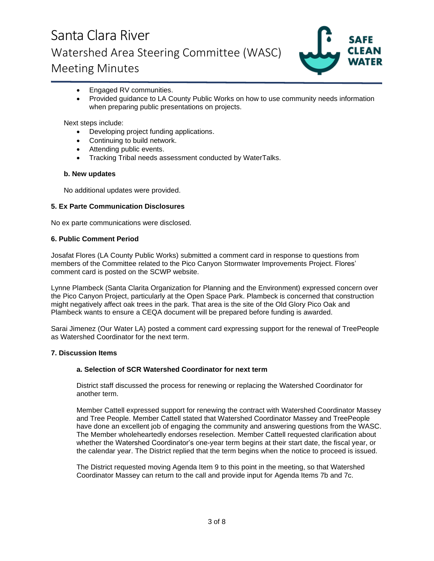

- Engaged RV communities.
- Provided guidance to LA County Public Works on how to use community needs information when preparing public presentations on projects.

Next steps include:

- Developing project funding applications.
- Continuing to build network.
- Attending public events.
- Tracking Tribal needs assessment conducted by WaterTalks.

### **b. New updates**

No additional updates were provided.

### **5. Ex Parte Communication Disclosures**

No ex parte communications were disclosed.

### **6. Public Comment Period**

Josafat Flores (LA County Public Works) submitted a comment card in response to questions from members of the Committee related to the Pico Canyon Stormwater Improvements Project. Flores' comment card is posted on the SCWP website.

Lynne Plambeck (Santa Clarita Organization for Planning and the Environment) expressed concern over the Pico Canyon Project, particularly at the Open Space Park. Plambeck is concerned that construction might negatively affect oak trees in the park. That area is the site of the Old Glory Pico Oak and Plambeck wants to ensure a CEQA document will be prepared before funding is awarded.

Sarai Jimenez (Our Water LA) posted a comment card expressing support for the renewal of TreePeople as Watershed Coordinator for the next term.

### **7. Discussion Items**

### **a. Selection of SCR Watershed Coordinator for next term**

District staff discussed the process for renewing or replacing the Watershed Coordinator for another term.

Member Cattell expressed support for renewing the contract with Watershed Coordinator Massey and Tree People. Member Cattell stated that Watershed Coordinator Massey and TreePeople have done an excellent job of engaging the community and answering questions from the WASC. The Member wholeheartedly endorses reselection. Member Cattell requested clarification about whether the Watershed Coordinator's one-year term begins at their start date, the fiscal year, or the calendar year. The District replied that the term begins when the notice to proceed is issued.

The District requested moving Agenda Item 9 to this point in the meeting, so that Watershed Coordinator Massey can return to the call and provide input for Agenda Items 7b and 7c.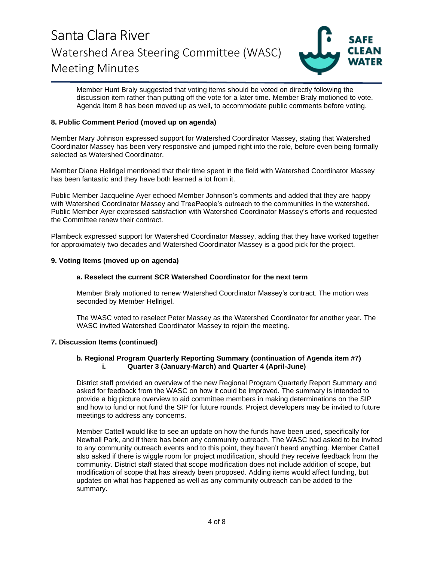

Member Hunt Braly suggested that voting items should be voted on directly following the discussion item rather than putting off the vote for a later time. Member Braly motioned to vote. Agenda Item 8 has been moved up as well, to accommodate public comments before voting.

## **8. Public Comment Period (moved up on agenda)**

Member Mary Johnson expressed support for Watershed Coordinator Massey, stating that Watershed Coordinator Massey has been very responsive and jumped right into the role, before even being formally selected as Watershed Coordinator.

Member Diane Hellrigel mentioned that their time spent in the field with Watershed Coordinator Massey has been fantastic and they have both learned a lot from it.

Public Member Jacqueline Ayer echoed Member Johnson's comments and added that they are happy with Watershed Coordinator Massey and TreePeople's outreach to the communities in the watershed. Public Member Ayer expressed satisfaction with Watershed Coordinator Massey's efforts and requested the Committee renew their contract.

Plambeck expressed support for Watershed Coordinator Massey, adding that they have worked together for approximately two decades and Watershed Coordinator Massey is a good pick for the project.

## **9. Voting Items (moved up on agenda)**

### **a. Reselect the current SCR Watershed Coordinator for the next term**

Member Braly motioned to renew Watershed Coordinator Massey's contract. The motion was seconded by Member Hellrigel.

The WASC voted to reselect Peter Massey as the Watershed Coordinator for another year. The WASC invited Watershed Coordinator Massey to rejoin the meeting.

### **7. Discussion Items (continued)**

### **b. Regional Program Quarterly Reporting Summary (continuation of Agenda item #7) i. Quarter 3 (January-March) and Quarter 4 (April-June)**

District staff provided an overview of the new Regional Program Quarterly Report Summary and asked for feedback from the WASC on how it could be improved. The summary is intended to provide a big picture overview to aid committee members in making determinations on the SIP and how to fund or not fund the SIP for future rounds. Project developers may be invited to future meetings to address any concerns.

Member Cattell would like to see an update on how the funds have been used, specifically for Newhall Park, and if there has been any community outreach. The WASC had asked to be invited to any community outreach events and to this point, they haven't heard anything. Member Cattell also asked if there is wiggle room for project modification, should they receive feedback from the community. District staff stated that scope modification does not include addition of scope, but modification of scope that has already been proposed. Adding items would affect funding, but updates on what has happened as well as any community outreach can be added to the summary.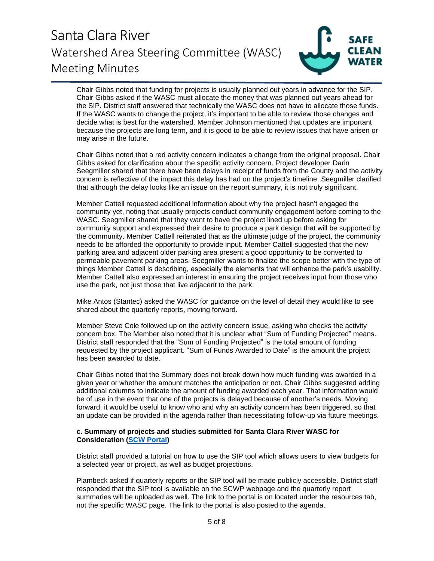

Chair Gibbs noted that funding for projects is usually planned out years in advance for the SIP. Chair Gibbs asked if the WASC must allocate the money that was planned out years ahead for the SIP. District staff answered that technically the WASC does not have to allocate those funds. If the WASC wants to change the project, it's important to be able to review those changes and decide what is best for the watershed. Member Johnson mentioned that updates are important because the projects are long term, and it is good to be able to review issues that have arisen or may arise in the future.

Chair Gibbs noted that a red activity concern indicates a change from the original proposal. Chair Gibbs asked for clarification about the specific activity concern. Project developer Darin Seegmiller shared that there have been delays in receipt of funds from the County and the activity concern is reflective of the impact this delay has had on the project's timeline. Seegmiller clarified that although the delay looks like an issue on the report summary, it is not truly significant.

Member Cattell requested additional information about why the project hasn't engaged the community yet, noting that usually projects conduct community engagement before coming to the WASC. Seegmiller shared that they want to have the project lined up before asking for community support and expressed their desire to produce a park design that will be supported by the community. Member Cattell reiterated that as the ultimate judge of the project, the community needs to be afforded the opportunity to provide input. Member Cattell suggested that the new parking area and adjacent older parking area present a good opportunity to be converted to permeable pavement parking areas. Seegmiller wants to finalize the scope better with the type of things Member Cattell is describing, especially the elements that will enhance the park's usability. Member Cattell also expressed an interest in ensuring the project receives input from those who use the park, not just those that live adjacent to the park.

Mike Antos (Stantec) asked the WASC for guidance on the level of detail they would like to see shared about the quarterly reports, moving forward.

Member Steve Cole followed up on the activity concern issue, asking who checks the activity concern box. The Member also noted that it is unclear what "Sum of Funding Projected" means. District staff responded that the "Sum of Funding Projected" is the total amount of funding requested by the project applicant. "Sum of Funds Awarded to Date" is the amount the project has been awarded to date.

Chair Gibbs noted that the Summary does not break down how much funding was awarded in a given year or whether the amount matches the anticipation or not. Chair Gibbs suggested adding additional columns to indicate the amount of funding awarded each year. That information would be of use in the event that one of the projects is delayed because of another's needs. Moving forward, it would be useful to know who and why an activity concern has been triggered, so that an update can be provided in the agenda rather than necessitating follow-up via future meetings.

### **c. Summary of projects and studies submitted for Santa Clara River WASC for Consideration [\(SCW Portal\)](https://portal.safecleanwaterla.org/scw-reporting/map)**

District staff provided a tutorial on how to use the SIP tool which allows users to view budgets for a selected year or project, as well as budget projections.

Plambeck asked if quarterly reports or the SIP tool will be made publicly accessible. District staff responded that the SIP tool is available on the SCWP webpage and the quarterly report summaries will be uploaded as well. The link to the portal is on located under the resources tab, not the specific WASC page. The link to the portal is also posted to the agenda.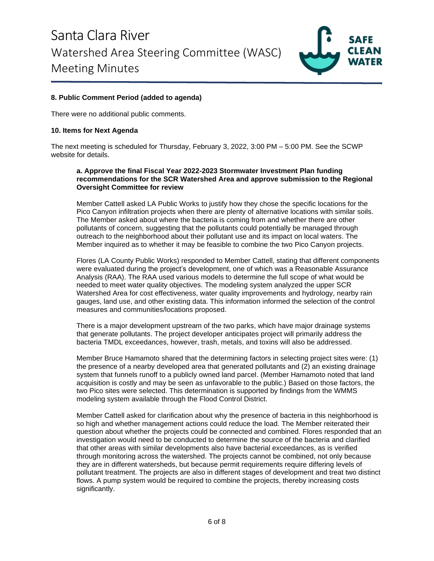

## **8. Public Comment Period (added to agenda)**

There were no additional public comments.

### **10. Items for Next Agenda**

The next meeting is scheduled for Thursday, February 3, 2022, 3:00 PM – 5:00 PM. See the SCWP website for details.

### **a. Approve the final Fiscal Year 2022-2023 Stormwater Investment Plan funding recommendations for the SCR Watershed Area and approve submission to the Regional Oversight Committee for review**

Member Cattell asked LA Public Works to justify how they chose the specific locations for the Pico Canyon infiltration projects when there are plenty of alternative locations with similar soils. The Member asked about where the bacteria is coming from and whether there are other pollutants of concern, suggesting that the pollutants could potentially be managed through outreach to the neighborhood about their pollutant use and its impact on local waters. The Member inquired as to whether it may be feasible to combine the two Pico Canyon projects.

Flores (LA County Public Works) responded to Member Cattell, stating that different components were evaluated during the project's development, one of which was a Reasonable Assurance Analysis (RAA). The RAA used various models to determine the full scope of what would be needed to meet water quality objectives. The modeling system analyzed the upper SCR Watershed Area for cost effectiveness, water quality improvements and hydrology, nearby rain gauges, land use, and other existing data. This information informed the selection of the control measures and communities/locations proposed.

There is a major development upstream of the two parks, which have major drainage systems that generate pollutants. The project developer anticipates project will primarily address the bacteria TMDL exceedances, however, trash, metals, and toxins will also be addressed.

Member Bruce Hamamoto shared that the determining factors in selecting project sites were: (1) the presence of a nearby developed area that generated pollutants and (2) an existing drainage system that funnels runoff to a publicly owned land parcel. (Member Hamamoto noted that land acquisition is costly and may be seen as unfavorable to the public.) Based on those factors, the two Pico sites were selected. This determination is supported by findings from the WMMS modeling system available through the Flood Control District.

Member Cattell asked for clarification about why the presence of bacteria in this neighborhood is so high and whether management actions could reduce the load. The Member reiterated their question about whether the projects could be connected and combined. Flores responded that an investigation would need to be conducted to determine the source of the bacteria and clarified that other areas with similar developments also have bacterial exceedances, as is verified through monitoring across the watershed. The projects cannot be combined, not only because they are in different watersheds, but because permit requirements require differing levels of pollutant treatment. The projects are also in different stages of development and treat two distinct flows. A pump system would be required to combine the projects, thereby increasing costs significantly.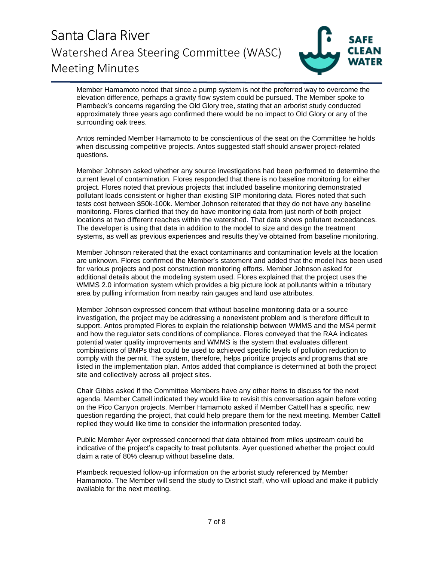

Member Hamamoto noted that since a pump system is not the preferred way to overcome the elevation difference, perhaps a gravity flow system could be pursued. The Member spoke to Plambeck's concerns regarding the Old Glory tree, stating that an arborist study conducted approximately three years ago confirmed there would be no impact to Old Glory or any of the surrounding oak trees.

Antos reminded Member Hamamoto to be conscientious of the seat on the Committee he holds when discussing competitive projects. Antos suggested staff should answer project-related questions.

Member Johnson asked whether any source investigations had been performed to determine the current level of contamination. Flores responded that there is no baseline monitoring for either project. Flores noted that previous projects that included baseline monitoring demonstrated pollutant loads consistent or higher than existing SIP monitoring data. Flores noted that such tests cost between \$50k-100k. Member Johnson reiterated that they do not have any baseline monitoring. Flores clarified that they do have monitoring data from just north of both project locations at two different reaches within the watershed. That data shows pollutant exceedances. The developer is using that data in addition to the model to size and design the treatment systems, as well as previous experiences and results they've obtained from baseline monitoring.

Member Johnson reiterated that the exact contaminants and contamination levels at the location are unknown. Flores confirmed the Member's statement and added that the model has been used for various projects and post construction monitoring efforts. Member Johnson asked for additional details about the modeling system used. Flores explained that the project uses the WMMS 2.0 information system which provides a big picture look at pollutants within a tributary area by pulling information from nearby rain gauges and land use attributes.

Member Johnson expressed concern that without baseline monitoring data or a source investigation, the project may be addressing a nonexistent problem and is therefore difficult to support. Antos prompted Flores to explain the relationship between WMMS and the MS4 permit and how the regulator sets conditions of compliance. Flores conveyed that the RAA indicates potential water quality improvements and WMMS is the system that evaluates different combinations of BMPs that could be used to achieved specific levels of pollution reduction to comply with the permit. The system, therefore, helps prioritize projects and programs that are listed in the implementation plan. Antos added that compliance is determined at both the project site and collectively across all project sites.

Chair Gibbs asked if the Committee Members have any other items to discuss for the next agenda. Member Cattell indicated they would like to revisit this conversation again before voting on the Pico Canyon projects. Member Hamamoto asked if Member Cattell has a specific, new question regarding the project, that could help prepare them for the next meeting. Member Cattell replied they would like time to consider the information presented today.

Public Member Ayer expressed concerned that data obtained from miles upstream could be indicative of the project's capacity to treat pollutants. Ayer questioned whether the project could claim a rate of 80% cleanup without baseline data.

Plambeck requested follow-up information on the arborist study referenced by Member Hamamoto. The Member will send the study to District staff, who will upload and make it publicly available for the next meeting.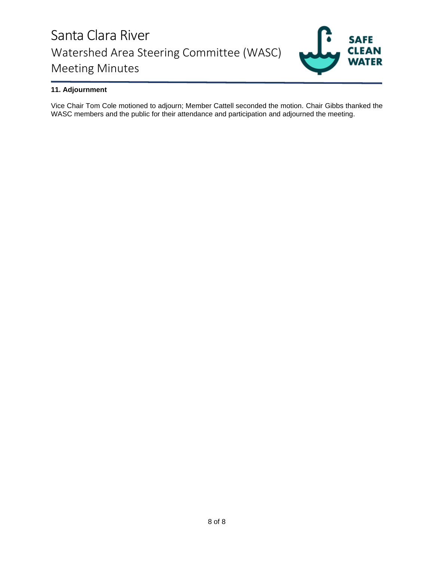

## **11. Adjournment**

Vice Chair Tom Cole motioned to adjourn; Member Cattell seconded the motion. Chair Gibbs thanked the WASC members and the public for their attendance and participation and adjourned the meeting.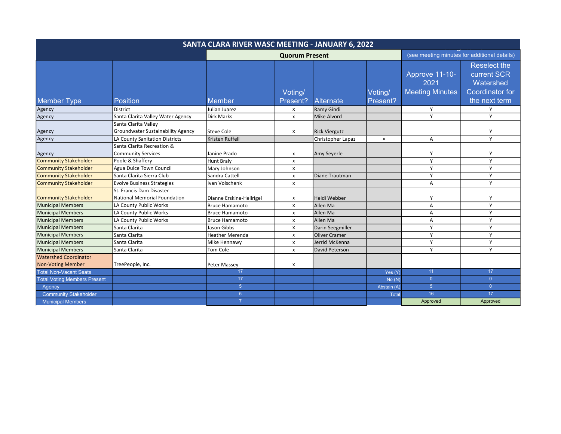| SANTA CLARA RIVER WASC MEETING - JANUARY 6, 2022 |                                                                  |                          |                           |                      |                           |                                                  |                                                                                            |  |  |
|--------------------------------------------------|------------------------------------------------------------------|--------------------------|---------------------------|----------------------|---------------------------|--------------------------------------------------|--------------------------------------------------------------------------------------------|--|--|
|                                                  |                                                                  |                          | <b>Quorum Present</b>     |                      |                           | (see meeting minutes for additional details)     |                                                                                            |  |  |
| <b>Member Type</b>                               | <b>Position</b>                                                  | Member                   | Voting/<br>Present?       | <b>Alternate</b>     | Voting/<br>Present?       | Approve 11-10-<br>2021<br><b>Meeting Minutes</b> | <b>Reselect the</b><br>current SCR<br>Watershed<br><b>Coordinator for</b><br>the next term |  |  |
| Agency                                           | <b>District</b>                                                  | Julian Juarez            | X                         | Ramy Gindi           |                           | Y                                                | Y                                                                                          |  |  |
| Agency                                           | Santa Clarita Valley Water Agency                                | <b>Dirk Marks</b>        | $\pmb{\times}$            | Mike Alvord          |                           | Y                                                | Y                                                                                          |  |  |
| Agency                                           | Santa Clarita Valley<br><b>Groundwater Sustainability Agency</b> | <b>Steve Cole</b>        | x                         | <b>Rick Viergutz</b> |                           |                                                  | Y                                                                                          |  |  |
| Agency                                           | LA County Sanitation Districts                                   | Kristen Ruffell          |                           | Christopher Lapaz    | $\boldsymbol{\mathsf{x}}$ | Α                                                | Y                                                                                          |  |  |
| Agency                                           | Santa Clarita Recreation &<br><b>Community Services</b>          | Janine Prado             | x                         | Amy Seyerle          |                           | Υ                                                | Y                                                                                          |  |  |
| <b>Community Stakeholder</b>                     | Poole & Shaffery                                                 | <b>Hunt Braly</b>        | x                         |                      |                           | Y                                                | Y                                                                                          |  |  |
| <b>Community Stakeholder</b>                     | Agua Dulce Town Council                                          | Mary Johnson             | X                         |                      |                           | Y                                                | Y                                                                                          |  |  |
| Community Stakeholder                            | Santa Clarita Sierra Club                                        | Sandra Cattell           | X                         | Diane Trautman       |                           | Y                                                | Y                                                                                          |  |  |
| Community Stakeholder                            | <b>Evolve Business Strategies</b>                                | Ivan Volschenk           | x                         |                      |                           | A                                                | Y                                                                                          |  |  |
| Community Stakeholder                            | St. Francis Dam Disaster<br>National Memorial Foundation         | Dianne Erskine-Hellrigel | $\boldsymbol{\mathsf{x}}$ | <b>Heidi Webber</b>  |                           | Y                                                | Y                                                                                          |  |  |
| Municipal Members                                | LA County Public Works                                           | <b>Bruce Hamamoto</b>    | $\boldsymbol{\mathsf{x}}$ | Allen Ma             |                           | A                                                | Y                                                                                          |  |  |
| Municipal Members                                | LA County Public Works                                           | <b>Bruce Hamamoto</b>    | x                         | Allen Ma             |                           | Α                                                | Y                                                                                          |  |  |
| <b>Municipal Members</b>                         | LA County Public Works                                           | <b>Bruce Hamamoto</b>    | x                         | Allen Ma             |                           | A                                                | Y                                                                                          |  |  |
| Municipal Members                                | Santa Clarita                                                    | Jason Gibbs              | X                         | Darin Seegmiller     |                           | Y                                                | Y                                                                                          |  |  |
| Municipal Members                                | Santa Clarita                                                    | <b>Heather Merenda</b>   | X                         | <b>Oliver Cramer</b> |                           | Y                                                | Y                                                                                          |  |  |
| Municipal Members                                | Santa Clarita                                                    | Mike Hennawy             | $\pmb{\chi}$              | Jerrid McKenna       |                           | Y                                                | Y                                                                                          |  |  |
| Municipal Members                                | Santa Clarita                                                    | Tom Cole                 | X                         | David Peterson       |                           | Y                                                | Y                                                                                          |  |  |
| Watershed Coordinator                            |                                                                  |                          |                           |                      |                           |                                                  |                                                                                            |  |  |
| <b>Non-Voting Member</b>                         | TreePeople, Inc.                                                 | Peter Massey             | X                         |                      |                           |                                                  |                                                                                            |  |  |
| <b>Total Non-Vacant Seats</b>                    |                                                                  | 17                       |                           |                      | Yes (Y)                   | 11                                               | 17 <sub>2</sub>                                                                            |  |  |
| <b>Total Voting Members Present</b>              |                                                                  | 17                       |                           |                      | No(N)                     | $\overline{0}$                                   | $\overline{0}$                                                                             |  |  |
| Agency                                           |                                                                  | 5 <sup>5</sup>           |                           |                      | Abstain (A)               | 5 <sup>5</sup>                                   | $\overline{0}$                                                                             |  |  |
| <b>Community Stakeholder</b>                     |                                                                  | $\overline{5}$           |                           |                      | Total                     | 16                                               | 17                                                                                         |  |  |
| <b>Municipal Members</b>                         |                                                                  |                          |                           |                      |                           | Approved                                         | Approved                                                                                   |  |  |